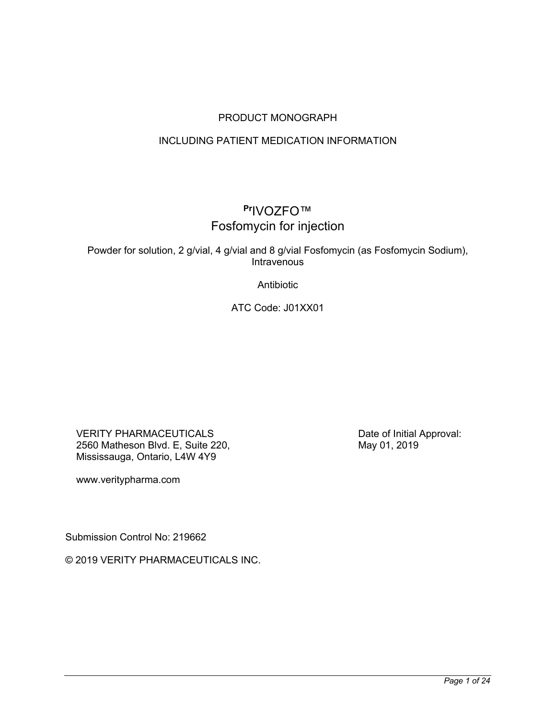## PRODUCT MONOGRAPH

## INCLUDING PATIENT MEDICATION INFORMATION

# **Pr**IVOZFO™ Fosfomycin for injection

Powder for solution, 2 g/vial, 4 g/vial and 8 g/vial Fosfomycin (as Fosfomycin Sodium), Intravenous

Antibiotic

ATC Code: J01XX01

VERITY PHARMACEUTICALS 2560 Matheson Blvd. E, Suite 220, Mississauga, Ontario, L4W 4Y9

www.veritypharma.com

Submission Control No: 219662

© 2019 VERITY PHARMACEUTICALS INC.

Date of Initial Approval: May 01, 2019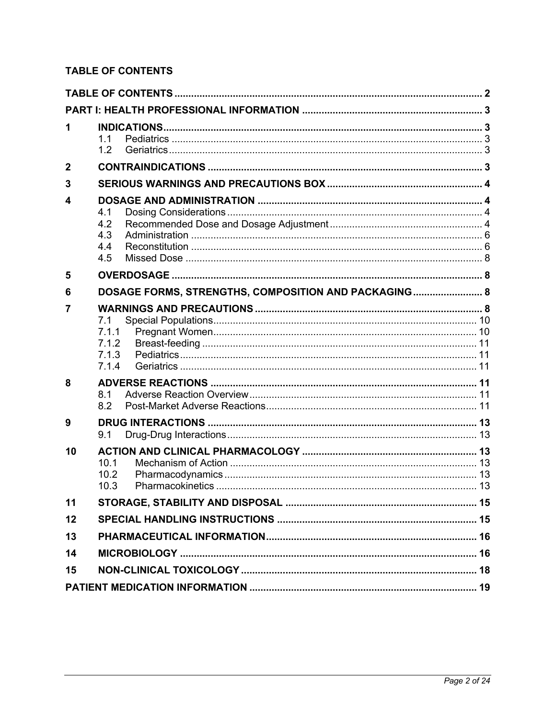## **TABLE OF CONTENTS**

| 1              | 1.1<br>1.2                                           |  |
|----------------|------------------------------------------------------|--|
| $\mathbf{2}$   |                                                      |  |
| 3              |                                                      |  |
| 4              | 4.1<br>4.2<br>4.3<br>4.4<br>4.5                      |  |
| 5              |                                                      |  |
| 6              | DOSAGE FORMS, STRENGTHS, COMPOSITION AND PACKAGING 8 |  |
| $\overline{7}$ | 7.1<br>7.1.1<br>7.1.2<br>7.1.3<br>7.1.4              |  |
| 8              | 8.1<br>8.2                                           |  |
| 9              | 9.1                                                  |  |
| 10             | 10.1<br>10.2<br>10.3                                 |  |
| 11             |                                                      |  |
| 12             |                                                      |  |
| 13             |                                                      |  |
| 14             |                                                      |  |
| 15             |                                                      |  |
|                |                                                      |  |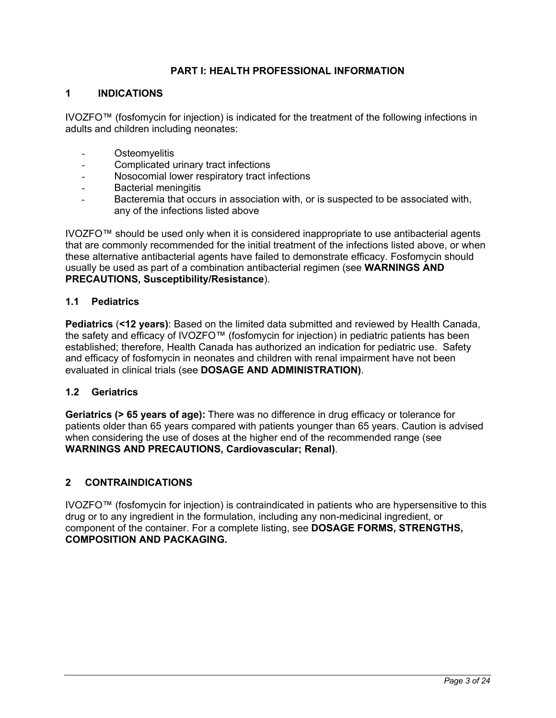### **PART I: HEALTH PROFESSIONAL INFORMATION**

### **1 INDICATIONS**

IVOZFO™ (fosfomycin for injection) is indicated for the treatment of the following infections in adults and children including neonates:

- Osteomvelitis
- Complicated urinary tract infections
- Nosocomial lower respiratory tract infections
- Bacterial meningitis
- Bacteremia that occurs in association with, or is suspected to be associated with, any of the infections listed above

IVOZFO™ should be used only when it is considered inappropriate to use antibacterial agents that are commonly recommended for the initial treatment of the infections listed above, or when these alternative antibacterial agents have failed to demonstrate efficacy. Fosfomycin should usually be used as part of a combination antibacterial regimen (see **WARNINGS AND PRECAUTIONS, Susceptibility/Resistance**).

### **1.1 Pediatrics**

**Pediatrics** (**<12 years)**: Based on the limited data submitted and reviewed by Health Canada, the safety and efficacy of IVOZFO™ (fosfomycin for injection) in pediatric patients has been established; therefore, Health Canada has authorized an indication for pediatric use. Safety and efficacy of fosfomycin in neonates and children with renal impairment have not been evaluated in clinical trials (see **DOSAGE AND ADMINISTRATION)**.

### **1.2 Geriatrics**

**Geriatrics (> 65 years of age):** There was no difference in drug efficacy or tolerance for patients older than 65 years compared with patients younger than 65 years. Caution is advised when considering the use of doses at the higher end of the recommended range (see **WARNINGS AND PRECAUTIONS, Cardiovascular; Renal)**.

### **2 CONTRAINDICATIONS**

IVOZFO™ (fosfomycin for injection) is contraindicated in patients who are hypersensitive to this drug or to any ingredient in the formulation, including any non-medicinal ingredient, or component of the container. For a complete listing, see **DOSAGE FORMS, STRENGTHS, COMPOSITION AND PACKAGING.**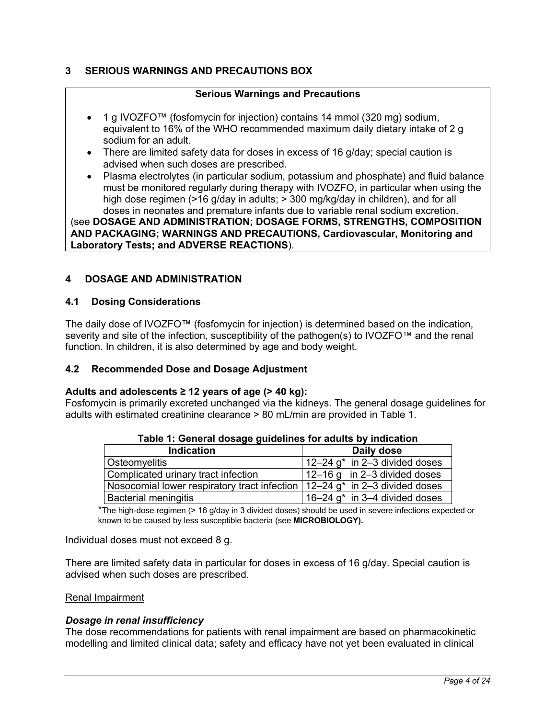## **3 SERIOUS WARNINGS AND PRECAUTIONS BOX**

### **Serious Warnings and Precautions**

- 1 g IVOZFO™ (fosfomycin for injection) contains 14 mmol (320 mg) sodium, equivalent to 16% of the WHO recommended maximum daily dietary intake of 2 g sodium for an adult.
- There are limited safety data for doses in excess of 16 g/day; special caution is advised when such doses are prescribed.
- Plasma electrolytes (in particular sodium, potassium and phosphate) and fluid balance must be monitored regularly during therapy with IVOZFO, in particular when using the high dose regimen (>16 g/day in adults; > 300 mg/kg/day in children), and for all doses in neonates and premature infants due to variable renal sodium excretion.

(see **DOSAGE AND ADMINISTRATION; DOSAGE FORMS, STRENGTHS, COMPOSITION AND PACKAGING; WARNINGS AND PRECAUTIONS, Cardiovascular, Monitoring and Laboratory Tests; and ADVERSE REACTIONS**).

## **4 DOSAGE AND ADMINISTRATION**

### **4.1 Dosing Considerations**

The daily dose of IVOZFO™ (fosfomycin for injection) is determined based on the indication, severity and site of the infection, susceptibility of the pathogen(s) to IVOZFO™ and the renal function. In children, it is also determined by age and body weight.

### **4.2 Recommended Dose and Dosage Adjustment**

### **Adults and adolescents ≥ 12 years of age (> 40 kg):**

Fosfomycin is primarily excreted unchanged via the kidneys. The general dosage guidelines for adults with estimated creatinine clearance > 80 mL/min are provided in Table 1.

| <u>tasio ili soliotal accago galacillico ici adallo sy ilialealichi</u>                        |                                             |  |
|------------------------------------------------------------------------------------------------|---------------------------------------------|--|
| <b>Indication</b>                                                                              | Daily dose                                  |  |
| Osteomyelitis                                                                                  | $12-24$ g <sup>*</sup> in 2-3 divided doses |  |
| Complicated urinary tract infection                                                            | $12-16$ g in 2-3 divided doses              |  |
| Nosocomial lower respiratory tract infection $\vert$ 12–24 g <sup>*</sup> in 2–3 divided doses |                                             |  |
| <b>Bacterial meningitis</b>                                                                    | 16-24 $g^*$ in 3-4 divided doses            |  |

**Table 1: General dosage guidelines for adults by indication**

\*The high-dose regimen (> 16 g/day in 3 divided doses) should be used in severe infections expected or known to be caused by less susceptible bacteria (see **MICROBIOLOGY).**

Individual doses must not exceed 8 g.

There are limited safety data in particular for doses in excess of 16 g/day. Special caution is advised when such doses are prescribed.

### Renal Impairment

### *Dosage in renal insufficiency*

The dose recommendations for patients with renal impairment are based on pharmacokinetic modelling and limited clinical data; safety and efficacy have not yet been evaluated in clinical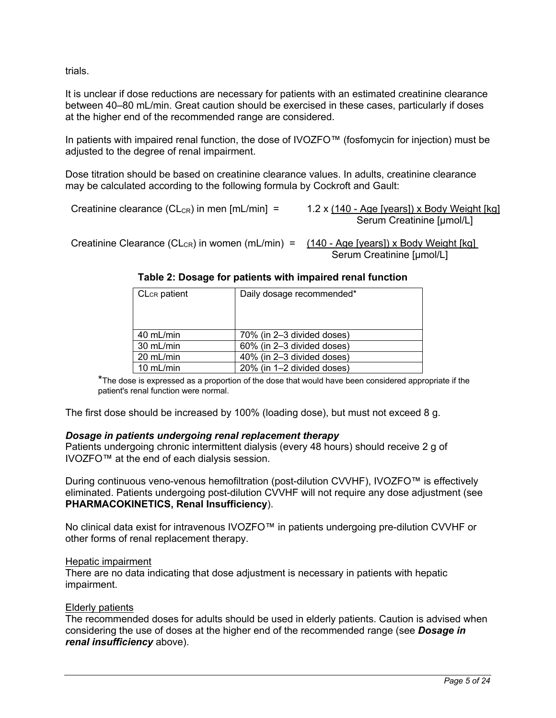trials.

It is unclear if dose reductions are necessary for patients with an estimated creatinine clearance between 40–80 mL/min. Great caution should be exercised in these cases, particularly if doses at the higher end of the recommended range are considered.

In patients with impaired renal function, the dose of IVOZFO™ (fosfomycin for injection) must be adjusted to the degree of renal impairment.

Dose titration should be based on creatinine clearance values. In adults, creatinine clearance may be calculated according to the following formula by Cockroft and Gault:

Creatinine clearance (CL<sub>CR</sub>) in men [mL/min] =  $1.2 \times (140 - Age \text{ [years]}) \times Body Weight \text{ [kg]}$ 

Serum Creatinine [µmol/L]

Creatinine Clearance (CL<sub>CR</sub>) in women (mL/min) =  $(140 - Age$  [years]) x Body Weight [kg] Serum Creatinine [µmol/L]

| <b>CL<sub>CR</sub></b> patient | Daily dosage recommended*  |  |
|--------------------------------|----------------------------|--|
|                                |                            |  |
| 40 mL/min                      | 70% (in 2-3 divided doses) |  |
| 30 mL/min                      | 60% (in 2-3 divided doses) |  |
| $20 \text{ mL/min}$            | 40% (in 2-3 divided doses) |  |
| 10 $mL/min$                    | 20% (in 1-2 divided doses) |  |

\*The dose is expressed as a proportion of the dose that would have been considered appropriate if the patient's renal function were normal.

The first dose should be increased by 100% (loading dose), but must not exceed 8 g.

### *Dosage in patients undergoing renal replacement therapy*

Patients undergoing chronic intermittent dialysis (every 48 hours) should receive 2 g of IVOZFO™ at the end of each dialysis session.

During continuous veno-venous hemofiltration (post-dilution CVVHF), IVOZFO™ is effectively eliminated. Patients undergoing post-dilution CVVHF will not require any dose adjustment (see **PHARMACOKINETICS, Renal Insufficiency**).

No clinical data exist for intravenous IVOZFO™ in patients undergoing pre-dilution CVVHF or other forms of renal replacement therapy.

### Hepatic impairment

There are no data indicating that dose adjustment is necessary in patients with hepatic impairment.

### Elderly patients

The recommended doses for adults should be used in elderly patients. Caution is advised when considering the use of doses at the higher end of the recommended range (see *Dosage in renal insufficiency* above).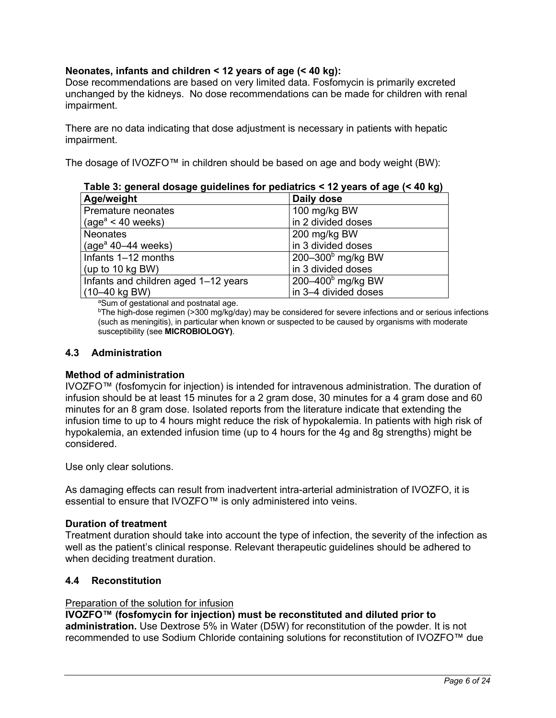## **Neonates, infants and children < 12 years of age (< 40 kg):**

Dose recommendations are based on very limited data. Fosfomycin is primarily excreted unchanged by the kidneys. No dose recommendations can be made for children with renal impairment.

There are no data indicating that dose adjustment is necessary in patients with hepatic impairment.

The dosage of IVOZFO™ in children should be based on age and body weight (BW):

| Table 3: general dosage guidelines for pediatrics < 12 years of age (< 40 kg) |                      |  |  |
|-------------------------------------------------------------------------------|----------------------|--|--|
| Age/weight                                                                    | Daily dose           |  |  |
| Premature neonates                                                            | 100 mg/kg BW         |  |  |
| $\vert$ (age <sup>a</sup> < 40 weeks)                                         | in 2 divided doses   |  |  |
| Neonates                                                                      | 200 mg/kg BW         |  |  |
| $\vert$ (age <sup>a</sup> 40–44 weeks)                                        | in 3 divided doses   |  |  |
| Infants 1-12 months                                                           | $200-300b$ mg/kg BW  |  |  |
| (up to 10 kg BW)                                                              | in 3 divided doses   |  |  |
| Infants and children aged 1-12 years                                          | 200 $-400b$ mg/kg BW |  |  |
| $(10 - 40 \text{ kg BW})$                                                     | in 3-4 divided doses |  |  |

<sup>a</sup>Sum of gestational and postnatal age.

bThe high-dose regimen (>300 mg/kg/day) may be considered for severe infections and or serious infections (such as meningitis), in particular when known or suspected to be caused by organisms with moderate susceptibility (see **MICROBIOLOGY)**.

### **4.3 Administration**

### **Method of administration**

IVOZFO™ (fosfomycin for injection) is intended for intravenous administration. The duration of infusion should be at least 15 minutes for a 2 gram dose, 30 minutes for a 4 gram dose and 60 minutes for an 8 gram dose. Isolated reports from the literature indicate that extending the infusion time to up to 4 hours might reduce the risk of hypokalemia. In patients with high risk of hypokalemia, an extended infusion time (up to 4 hours for the 4g and 8g strengths) might be considered.

Use only clear solutions.

As damaging effects can result from inadvertent intra-arterial administration of IVOZFO, it is essential to ensure that IVOZFO™ is only administered into veins.

### **Duration of treatment**

Treatment duration should take into account the type of infection, the severity of the infection as well as the patient's clinical response. Relevant therapeutic guidelines should be adhered to when deciding treatment duration.

### **4.4 Reconstitution**

### Preparation of the solution for infusion

**IVOZFO™ (fosfomycin for injection) must be reconstituted and diluted prior to administration.** Use Dextrose 5% in Water (D5W) for reconstitution of the powder. It is not recommended to use Sodium Chloride containing solutions for reconstitution of IVOZFO™ due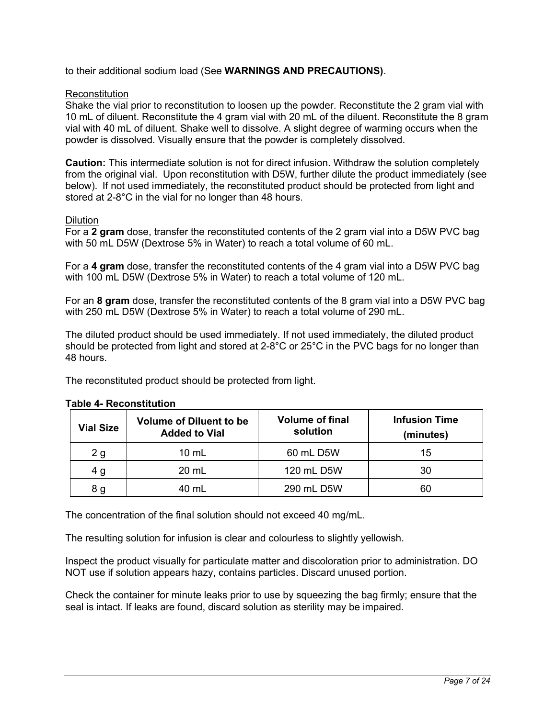## to their additional sodium load (See **WARNINGS AND PRECAUTIONS)**.

### **Reconstitution**

Shake the vial prior to reconstitution to loosen up the powder. Reconstitute the 2 gram vial with 10 mL of diluent. Reconstitute the 4 gram vial with 20 mL of the diluent. Reconstitute the 8 gram vial with 40 mL of diluent. Shake well to dissolve. A slight degree of warming occurs when the powder is dissolved. Visually ensure that the powder is completely dissolved.

**Caution:** This intermediate solution is not for direct infusion. Withdraw the solution completely from the original vial. Upon reconstitution with D5W, further dilute the product immediately (see below). If not used immediately, the reconstituted product should be protected from light and stored at 2-8°C in the vial for no longer than 48 hours.

### **Dilution**

For a **2 gram** dose, transfer the reconstituted contents of the 2 gram vial into a D5W PVC bag with 50 mL D5W (Dextrose 5% in Water) to reach a total volume of 60 mL.

For a **4 gram** dose, transfer the reconstituted contents of the 4 gram vial into a D5W PVC bag with 100 mL D5W (Dextrose 5% in Water) to reach a total volume of 120 mL.

For an **8 gram** dose, transfer the reconstituted contents of the 8 gram vial into a D5W PVC bag with 250 mL D5W (Dextrose 5% in Water) to reach a total volume of 290 mL.

The diluted product should be used immediately. If not used immediately, the diluted product should be protected from light and stored at 2-8°C or 25°C in the PVC bags for no longer than 48 hours.

The reconstituted product should be protected from light.

| <b>Vial Size</b> | <b>Volume of Diluent to be</b><br><b>Added to Vial</b> | <b>Volume of final</b><br>solution | <b>Infusion Time</b><br>(minutes) |
|------------------|--------------------------------------------------------|------------------------------------|-----------------------------------|
| 2 <sub>g</sub>   | $10 \mathrm{m}$                                        | 60 mL D5W                          | 15                                |
| 4 g              | 20 mL                                                  | 120 mL D5W                         | 30                                |
| 8 g              | 40 mL                                                  | 290 mL D5W                         | 60                                |

### **Table 4- Reconstitution**

The concentration of the final solution should not exceed 40 mg/mL.

The resulting solution for infusion is clear and colourless to slightly yellowish.

Inspect the product visually for particulate matter and discoloration prior to administration. DO NOT use if solution appears hazy, contains particles. Discard unused portion.

Check the container for minute leaks prior to use by squeezing the bag firmly; ensure that the seal is intact. If leaks are found, discard solution as sterility may be impaired.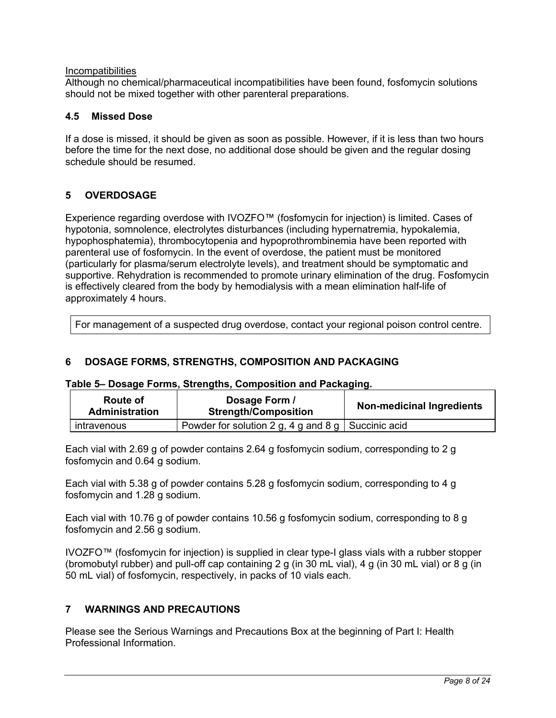### **Incompatibilities**

Although no chemical/pharmaceutical incompatibilities have been found, fosfomycin solutions should not be mixed together with other parenteral preparations.

### **4.5 Missed Dose**

If a dose is missed, it should be given as soon as possible. However, if it is less than two hours before the time for the next dose, no additional dose should be given and the regular dosing schedule should be resumed.

## **5 OVERDOSAGE**

Experience regarding overdose with IVOZFO™ (fosfomycin for injection) is limited. Cases of hypotonia, somnolence, electrolytes disturbances (including hypernatremia, hypokalemia, hypophosphatemia), thrombocytopenia and hypoprothrombinemia have been reported with parenteral use of fosfomycin. In the event of overdose, the patient must be monitored (particularly for plasma/serum electrolyte levels), and treatment should be symptomatic and supportive. Rehydration is recommended to promote urinary elimination of the drug. Fosfomycin is effectively cleared from the body by hemodialysis with a mean elimination half-life of approximately 4 hours.

For management of a suspected drug overdose, contact your regional poison control centre.

## **6 DOSAGE FORMS, STRENGTHS, COMPOSITION AND PACKAGING**

### **Table 5– Dosage Forms, Strengths, Composition and Packaging.**

| Dosage Form /<br>Route of<br><b>Strength/Composition</b><br><b>Administration</b> |                                                      | <b>Non-medicinal Ingredients</b> |
|-----------------------------------------------------------------------------------|------------------------------------------------------|----------------------------------|
| intravenous                                                                       | Powder for solution 2 g, 4 g and 8 g   Succinic acid |                                  |

Each vial with 2.69 g of powder contains 2.64 g fosfomycin sodium, corresponding to 2 g fosfomycin and 0.64 g sodium.

Each vial with 5.38 g of powder contains 5.28 g fosfomycin sodium, corresponding to 4 g fosfomycin and 1.28 g sodium.

Each vial with 10.76 g of powder contains 10.56 g fosfomycin sodium, corresponding to 8 g fosfomycin and 2.56 g sodium.

IVOZFO™ (fosfomycin for injection) is supplied in clear type-I glass vials with a rubber stopper (bromobutyl rubber) and pull-off cap containing 2 g (in 30 mL vial), 4 g (in 30 mL vial) or 8 g (in 50 mL vial) of fosfomycin, respectively, in packs of 10 vials each.

### **7 WARNINGS AND PRECAUTIONS**

Please see the Serious Warnings and Precautions Box at the beginning of Part I: Health Professional Information.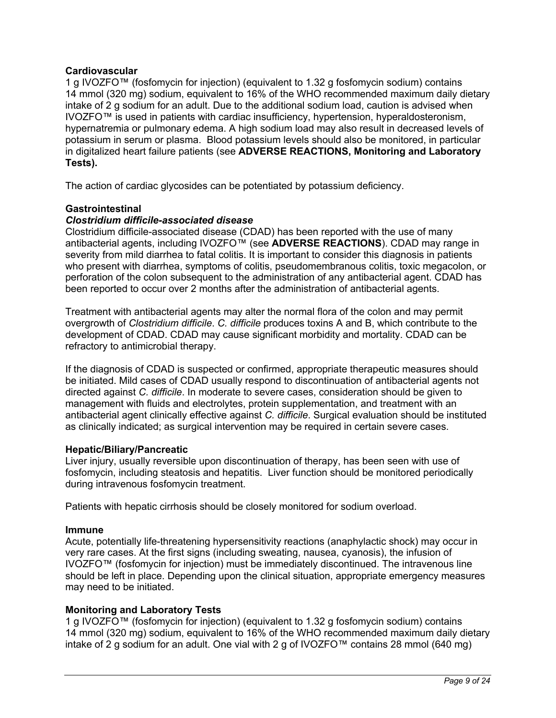### **Cardiovascular**

1 g IVOZFO™ (fosfomycin for injection) (equivalent to 1.32 g fosfomycin sodium) contains 14 mmol (320 mg) sodium, equivalent to 16% of the WHO recommended maximum daily dietary intake of 2 g sodium for an adult. Due to the additional sodium load, caution is advised when IVOZFO™ is used in patients with cardiac insufficiency, hypertension, hyperaldosteronism, hypernatremia or pulmonary edema. A high sodium load may also result in decreased levels of potassium in serum or plasma. Blood potassium levels should also be monitored, in particular in digitalized heart failure patients (see **ADVERSE REACTIONS, Monitoring and Laboratory Tests).**

The action of cardiac glycosides can be potentiated by potassium deficiency.

### **Gastrointestinal**

### *Clostridium difficile-associated disease*

Clostridium difficile-associated disease (CDAD) has been reported with the use of many antibacterial agents, including IVOZFO™ (see **ADVERSE REACTIONS**). CDAD may range in severity from mild diarrhea to fatal colitis. It is important to consider this diagnosis in patients who present with diarrhea, symptoms of colitis, pseudomembranous colitis, toxic megacolon, or perforation of the colon subsequent to the administration of any antibacterial agent. CDAD has been reported to occur over 2 months after the administration of antibacterial agents.

Treatment with antibacterial agents may alter the normal flora of the colon and may permit overgrowth of *Clostridium difficile*. *C. difficile* produces toxins A and B, which contribute to the development of CDAD. CDAD may cause significant morbidity and mortality. CDAD can be refractory to antimicrobial therapy.

If the diagnosis of CDAD is suspected or confirmed, appropriate therapeutic measures should be initiated. Mild cases of CDAD usually respond to discontinuation of antibacterial agents not directed against *C. difficile*. In moderate to severe cases, consideration should be given to management with fluids and electrolytes, protein supplementation, and treatment with an antibacterial agent clinically effective against *C. difficile*. Surgical evaluation should be instituted as clinically indicated; as surgical intervention may be required in certain severe cases.

### **Hepatic/Biliary/Pancreatic**

Liver injury, usually reversible upon discontinuation of therapy, has been seen with use of fosfomycin, including steatosis and hepatitis. Liver function should be monitored periodically during intravenous fosfomycin treatment.

Patients with hepatic cirrhosis should be closely monitored for sodium overload.

### **Immune**

Acute, potentially life-threatening hypersensitivity reactions (anaphylactic shock) may occur in very rare cases. At the first signs (including sweating, nausea, cyanosis), the infusion of IVOZFO™ (fosfomycin for injection) must be immediately discontinued. The intravenous line should be left in place. Depending upon the clinical situation, appropriate emergency measures may need to be initiated.

### **Monitoring and Laboratory Tests**

1 g IVOZFO™ (fosfomycin for injection) (equivalent to 1.32 g fosfomycin sodium) contains 14 mmol (320 mg) sodium, equivalent to 16% of the WHO recommended maximum daily dietary intake of 2 g sodium for an adult. One vial with 2 g of IVOZFO™ contains 28 mmol (640 mg)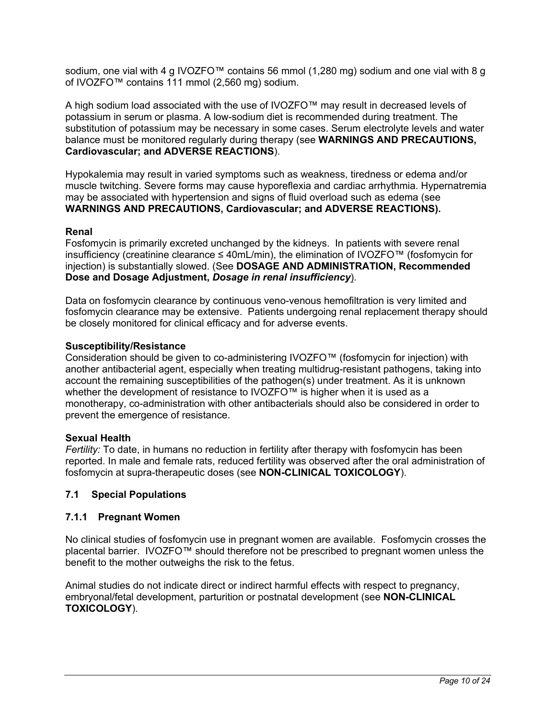sodium, one vial with 4 g IVOZFO™ contains 56 mmol (1,280 mg) sodium and one vial with 8 g of IVOZFO™ contains 111 mmol (2,560 mg) sodium.

A high sodium load associated with the use of IVOZFO™ may result in decreased levels of potassium in serum or plasma. A low-sodium diet is recommended during treatment. The substitution of potassium may be necessary in some cases. Serum electrolyte levels and water balance must be monitored regularly during therapy (see **WARNINGS AND PRECAUTIONS, Cardiovascular; and ADVERSE REACTIONS**).

Hypokalemia may result in varied symptoms such as weakness, tiredness or edema and/or muscle twitching. Severe forms may cause hyporeflexia and cardiac arrhythmia. Hypernatremia may be associated with hypertension and signs of fluid overload such as edema (see **WARNINGS AND PRECAUTIONS, Cardiovascular; and ADVERSE REACTIONS).**

### **Renal**

Fosfomycin is primarily excreted unchanged by the kidneys. In patients with severe renal insufficiency (creatinine clearance ≤ 40mL/min), the elimination of IVOZFO™ (fosfomycin for injection) is substantially slowed. (See **DOSAGE AND ADMINISTRATION, Recommended Dose and Dosage Adjustment,** *Dosage in renal insufficiency*).

Data on fosfomycin clearance by continuous veno-venous hemofiltration is very limited and fosfomycin clearance may be extensive. Patients undergoing renal replacement therapy should be closely monitored for clinical efficacy and for adverse events.

### **Susceptibility/Resistance**

Consideration should be given to co-administering IVOZFO™ (fosfomycin for injection) with another antibacterial agent, especially when treating multidrug-resistant pathogens, taking into account the remaining susceptibilities of the pathogen(s) under treatment. As it is unknown whether the development of resistance to IVOZFO™ is higher when it is used as a monotherapy, co-administration with other antibacterials should also be considered in order to prevent the emergence of resistance.

### **Sexual Health**

*Fertility:* To date, in humans no reduction in fertility after therapy with fosfomycin has been reported. In male and female rats, reduced fertility was observed after the oral administration of fosfomycin at supra-therapeutic doses (see **NON-CLINICAL TOXICOLOGY**).

### **7.1 Special Populations**

### **7.1.1 Pregnant Women**

No clinical studies of fosfomycin use in pregnant women are available. Fosfomycin crosses the placental barrier. IVOZFO™ should therefore not be prescribed to pregnant women unless the benefit to the mother outweighs the risk to the fetus.

Animal studies do not indicate direct or indirect harmful effects with respect to pregnancy, embryonal/fetal development, parturition or postnatal development (see **NON-CLINICAL TOXICOLOGY**).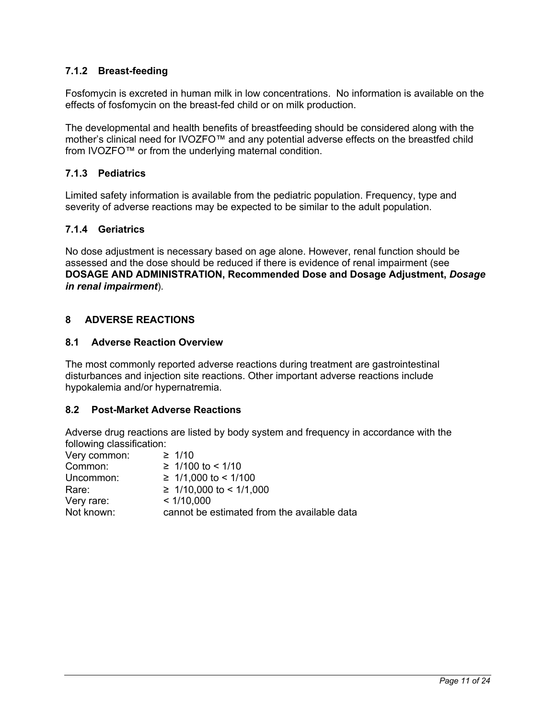## **7.1.2 Breast-feeding**

Fosfomycin is excreted in human milk in low concentrations. No information is available on the effects of fosfomycin on the breast-fed child or on milk production.

The developmental and health benefits of breastfeeding should be considered along with the mother's clinical need for IVOZFO™ and any potential adverse effects on the breastfed child from IVOZFO™ or from the underlying maternal condition.

## **7.1.3 Pediatrics**

Limited safety information is available from the pediatric population. Frequency, type and severity of adverse reactions may be expected to be similar to the adult population.

## **7.1.4 Geriatrics**

No dose adjustment is necessary based on age alone. However, renal function should be assessed and the dose should be reduced if there is evidence of renal impairment (see **DOSAGE AND ADMINISTRATION, Recommended Dose and Dosage Adjustment,** *Dosage in renal impairment*).

## **8 ADVERSE REACTIONS**

### **8.1 Adverse Reaction Overview**

The most commonly reported adverse reactions during treatment are gastrointestinal disturbances and injection site reactions. Other important adverse reactions include hypokalemia and/or hypernatremia.

### **8.2 Post-Market Adverse Reactions**

Adverse drug reactions are listed by body system and frequency in accordance with the following classification:

| Very common: | $\geq 1/10$                                 |
|--------------|---------------------------------------------|
| Common:      | $≥ 1/100$ to < 1/10                         |
| Uncommon:    | $\geq 1/1,000$ to < 1/100                   |
| Rare:        | $\geq 1/10,000$ to < 1/1,000                |
| Very rare:   | < 1/10,000                                  |
| Not known:   | cannot be estimated from the available data |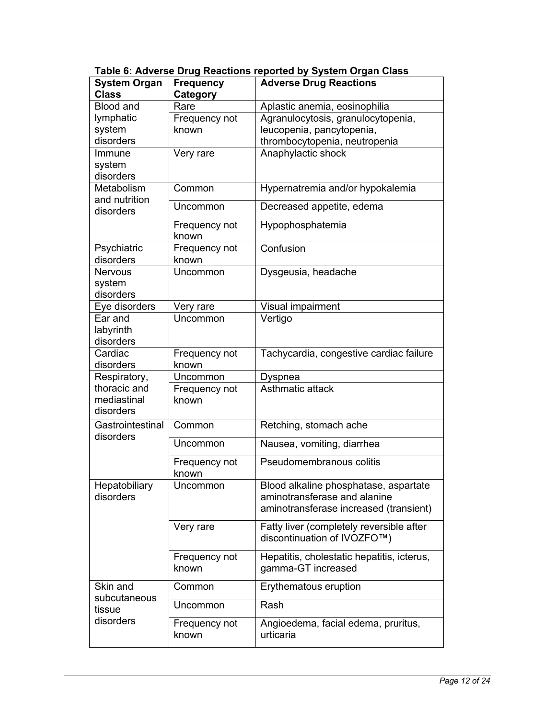| <b>System Organ</b>                 | <b>Frequency</b>       | <b>Adverse Drug Reactions</b>                                         |  |
|-------------------------------------|------------------------|-----------------------------------------------------------------------|--|
| <b>Class</b>                        | Category               |                                                                       |  |
| <b>Blood and</b><br>Rare            |                        | Aplastic anemia, eosinophilia                                         |  |
| lymphatic                           | Frequency not          | Agranulocytosis, granulocytopenia,                                    |  |
| system                              | known                  | leucopenia, pancytopenia,                                             |  |
| disorders                           |                        | thrombocytopenia, neutropenia                                         |  |
| Immune                              | Very rare              | Anaphylactic shock                                                    |  |
| system                              |                        |                                                                       |  |
| disorders                           |                        |                                                                       |  |
| Metabolism                          | Common                 | Hypernatremia and/or hypokalemia                                      |  |
| and nutrition<br>disorders          | Uncommon               | Decreased appetite, edema                                             |  |
|                                     | Frequency not<br>known | Hypophosphatemia                                                      |  |
| Psychiatric                         | Frequency not          | Confusion                                                             |  |
| disorders                           | known                  |                                                                       |  |
| <b>Nervous</b>                      | Uncommon               | Dysgeusia, headache                                                   |  |
| system                              |                        |                                                                       |  |
| disorders                           |                        |                                                                       |  |
| Eye disorders                       | Very rare              | Visual impairment                                                     |  |
| Ear and                             | Uncommon               | Vertigo                                                               |  |
| labyrinth                           |                        |                                                                       |  |
| disorders                           |                        |                                                                       |  |
| Cardiac                             | Frequency not          | Tachycardia, congestive cardiac failure                               |  |
| disorders                           | known                  |                                                                       |  |
| Respiratory,<br>Uncommon<br>Dyspnea |                        |                                                                       |  |
| thoracic and                        | Frequency not          | Asthmatic attack                                                      |  |
| mediastinal<br>disorders            | known                  |                                                                       |  |
|                                     |                        |                                                                       |  |
| Gastrointestinal<br>disorders       | Common                 | Retching, stomach ache                                                |  |
|                                     | Uncommon               | Nausea, vomiting, diarrhea                                            |  |
|                                     | Frequency not          | Pseudomembranous colitis                                              |  |
|                                     | known                  |                                                                       |  |
| Hepatobiliary<br>disorders          | Uncommon               | Blood alkaline phosphatase, aspartate<br>aminotransferase and alanine |  |
|                                     |                        | aminotransferase increased (transient)                                |  |
|                                     |                        |                                                                       |  |
|                                     | Very rare              | Fatty liver (completely reversible after                              |  |
|                                     |                        | discontinuation of IVOZFO™)                                           |  |
|                                     | Frequency not          | Hepatitis, cholestatic hepatitis, icterus,                            |  |
|                                     | known                  | gamma-GT increased                                                    |  |
| Skin and<br>subcutaneous            | Common                 | Erythematous eruption                                                 |  |
| tissue                              | Uncommon               | Rash                                                                  |  |
| disorders                           | Frequency not          | Angioedema, facial edema, pruritus,                                   |  |
|                                     | known                  | urticaria                                                             |  |

**Table 6: Adverse Drug Reactions reported by System Organ Class**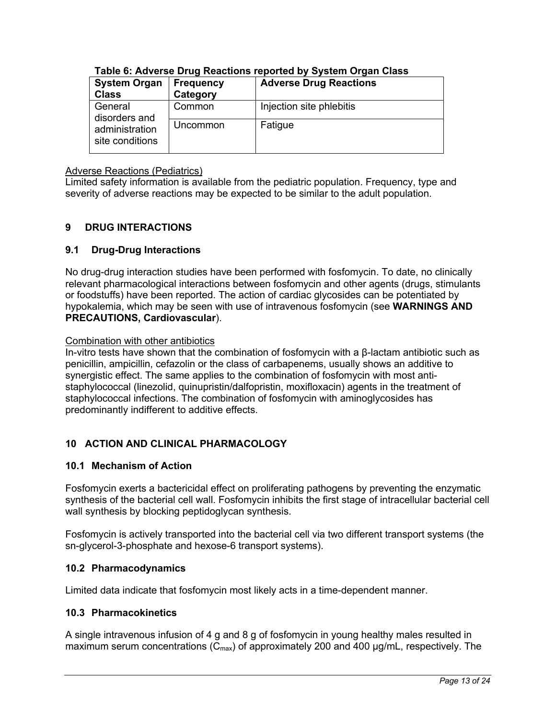| <b>System Organ</b>               | <b>Frequency</b> | <b>Adverse Drug Reactions</b> |  |
|-----------------------------------|------------------|-------------------------------|--|
| <b>Class</b>                      | Category         |                               |  |
| General<br>disorders and          | Common           | Injection site phlebitis      |  |
| administration<br>site conditions | Uncommon         | Fatigue                       |  |

## **Table 6: Adverse Drug Reactions reported by System Organ Class**

### Adverse Reactions (Pediatrics)

Limited safety information is available from the pediatric population. Frequency, type and severity of adverse reactions may be expected to be similar to the adult population.

## **9 DRUG INTERACTIONS**

## **9.1 Drug-Drug Interactions**

No drug-drug interaction studies have been performed with fosfomycin. To date, no clinically relevant pharmacological interactions between fosfomycin and other agents (drugs, stimulants or foodstuffs) have been reported. The action of cardiac glycosides can be potentiated by hypokalemia, which may be seen with use of intravenous fosfomycin (see **WARNINGS AND PRECAUTIONS, Cardiovascular**).

## Combination with other antibiotics

In-vitro tests have shown that the combination of fosfomycin with a β-lactam antibiotic such as penicillin, ampicillin, cefazolin or the class of carbapenems, usually shows an additive to synergistic effect. The same applies to the combination of fosfomycin with most antistaphylococcal (linezolid, quinupristin/dalfopristin, moxifloxacin) agents in the treatment of staphylococcal infections. The combination of fosfomycin with aminoglycosides has predominantly indifferent to additive effects.

## **10 ACTION AND CLINICAL PHARMACOLOGY**

## **10.1 Mechanism of Action**

Fosfomycin exerts a bactericidal effect on proliferating pathogens by preventing the enzymatic synthesis of the bacterial cell wall. Fosfomycin inhibits the first stage of intracellular bacterial cell wall synthesis by blocking peptidoglycan synthesis.

Fosfomycin is actively transported into the bacterial cell via two different transport systems (the sn-glycerol-3-phosphate and hexose-6 transport systems).

## **10.2 Pharmacodynamics**

Limited data indicate that fosfomycin most likely acts in a time-dependent manner.

## **10.3 Pharmacokinetics**

A single intravenous infusion of 4 g and 8 g of fosfomycin in young healthy males resulted in maximum serum concentrations ( $C_{\text{max}}$ ) of approximately 200 and 400  $\mu$ g/mL, respectively. The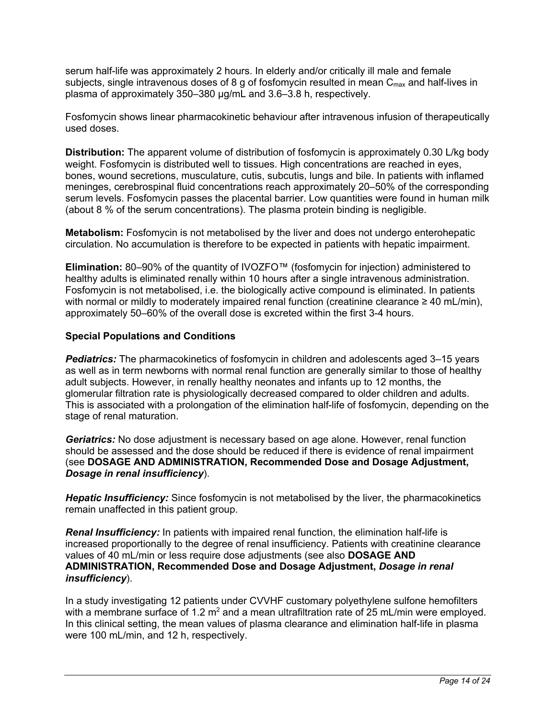serum half-life was approximately 2 hours. In elderly and/or critically ill male and female subjects, single intravenous doses of 8 g of fosfomycin resulted in mean  $C_{\text{max}}$  and half-lives in plasma of approximately 350–380 µg/mL and 3.6–3.8 h, respectively.

Fosfomycin shows linear pharmacokinetic behaviour after intravenous infusion of therapeutically used doses.

**Distribution:** The apparent volume of distribution of fosfomycin is approximately 0.30 L/kg body weight. Fosfomycin is distributed well to tissues. High concentrations are reached in eyes, bones, wound secretions, musculature, cutis, subcutis, lungs and bile. In patients with inflamed meninges, cerebrospinal fluid concentrations reach approximately 20–50% of the corresponding serum levels. Fosfomycin passes the placental barrier. Low quantities were found in human milk (about 8 % of the serum concentrations). The plasma protein binding is negligible.

**Metabolism:** Fosfomycin is not metabolised by the liver and does not undergo enterohepatic circulation. No accumulation is therefore to be expected in patients with hepatic impairment.

**Elimination:** 80–90% of the quantity of IVOZFO™ (fosfomycin for injection) administered to healthy adults is eliminated renally within 10 hours after a single intravenous administration. Fosfomycin is not metabolised, i.e. the biologically active compound is eliminated. In patients with normal or mildly to moderately impaired renal function (creatinine clearance  $\geq 40$  mL/min), approximately 50–60% of the overall dose is excreted within the first 3-4 hours.

### **Special Populations and Conditions**

*Pediatrics:* The pharmacokinetics of fosfomycin in children and adolescents aged 3–15 years as well as in term newborns with normal renal function are generally similar to those of healthy adult subjects. However, in renally healthy neonates and infants up to 12 months, the glomerular filtration rate is physiologically decreased compared to older children and adults. This is associated with a prolongation of the elimination half-life of fosfomycin, depending on the stage of renal maturation.

*Geriatrics:* No dose adjustment is necessary based on age alone. However, renal function should be assessed and the dose should be reduced if there is evidence of renal impairment (see **DOSAGE AND ADMINISTRATION, Recommended Dose and Dosage Adjustment,**  *Dosage in renal insufficiency*).

*Hepatic Insufficiency:* Since fosfomycin is not metabolised by the liver, the pharmacokinetics remain unaffected in this patient group.

*Renal Insufficiency:* In patients with impaired renal function, the elimination half-life is increased proportionally to the degree of renal insufficiency. Patients with creatinine clearance values of 40 mL/min or less require dose adjustments (see also **DOSAGE AND ADMINISTRATION, Recommended Dose and Dosage Adjustment,** *Dosage in renal insufficiency*).

In a study investigating 12 patients under CVVHF customary polyethylene sulfone hemofilters with a membrane surface of 1.2  $m^2$  and a mean ultrafiltration rate of 25 mL/min were employed. In this clinical setting, the mean values of plasma clearance and elimination half-life in plasma were 100 mL/min, and 12 h, respectively.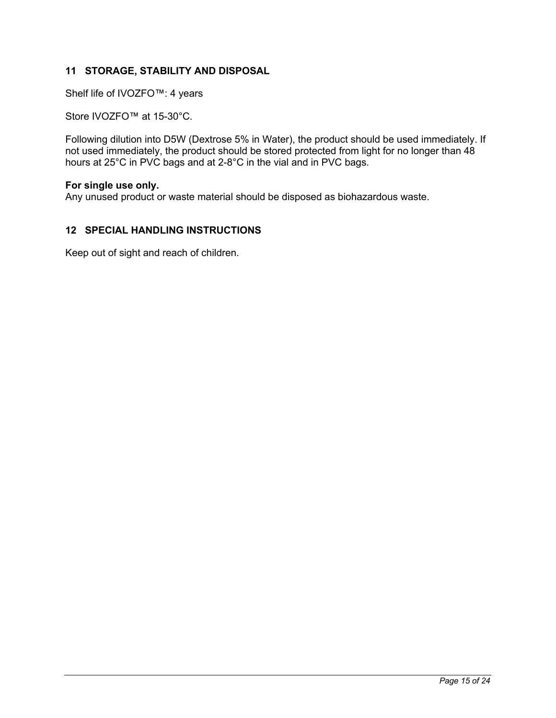## **11 STORAGE, STABILITY AND DISPOSAL**

Shelf life of IVOZFO™: 4 years

Store IVOZFO™ at 15-30°C.

Following dilution into D5W (Dextrose 5% in Water), the product should be used immediately. If not used immediately, the product should be stored protected from light for no longer than 48 hours at 25°C in PVC bags and at 2-8°C in the vial and in PVC bags.

### **For single use only.**

Any unused product or waste material should be disposed as biohazardous waste.

### **12 SPECIAL HANDLING INSTRUCTIONS**

Keep out of sight and reach of children.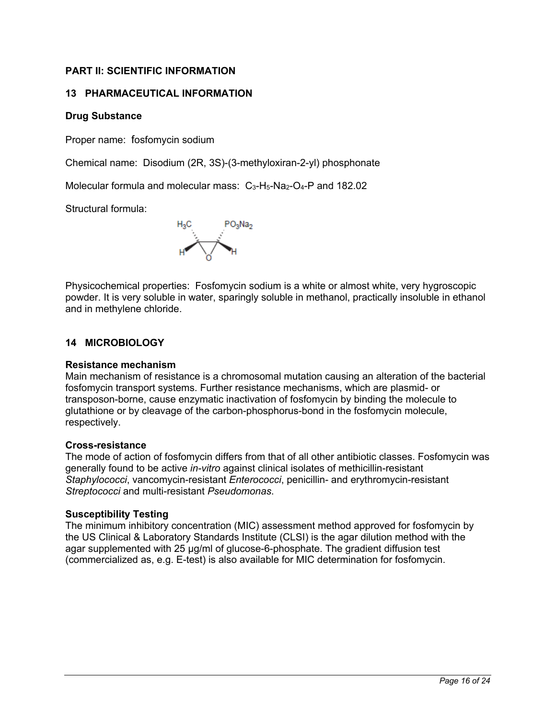## **PART II: SCIENTIFIC INFORMATION**

## **13 PHARMACEUTICAL INFORMATION**

## **Drug Substance**

Proper name: fosfomycin sodium

Chemical name: Disodium (2R, 3S)-(3-methyloxiran-2-yl) phosphonate

Molecular formula and molecular mass:  $C_3-H_5-Na_2-O_4-P$  and 182.02

Structural formula:



Physicochemical properties: Fosfomycin sodium is a white or almost white, very hygroscopic powder. It is very soluble in water, sparingly soluble in methanol, practically insoluble in ethanol and in methylene chloride.

## **14 MICROBIOLOGY**

### **Resistance mechanism**

Main mechanism of resistance is a chromosomal mutation causing an alteration of the bacterial fosfomycin transport systems. Further resistance mechanisms, which are plasmid- or transposon-borne, cause enzymatic inactivation of fosfomycin by binding the molecule to glutathione or by cleavage of the carbon-phosphorus-bond in the fosfomycin molecule, respectively.

### **Cross-resistance**

The mode of action of fosfomycin differs from that of all other antibiotic classes. Fosfomycin was generally found to be active *in-vitro* against clinical isolates of methicillin-resistant *Staphylococci*, vancomycin-resistant *Enterococci*, penicillin- and erythromycin-resistant *Streptococci* and multi-resistant *Pseudomonas*.

### **Susceptibility Testing**

The minimum inhibitory concentration (MIC) assessment method approved for fosfomycin by the US Clinical & Laboratory Standards Institute (CLSI) is the agar dilution method with the agar supplemented with 25 μg/ml of glucose-6-phosphate. The gradient diffusion test (commercialized as, e.g. E-test) is also available for MIC determination for fosfomycin.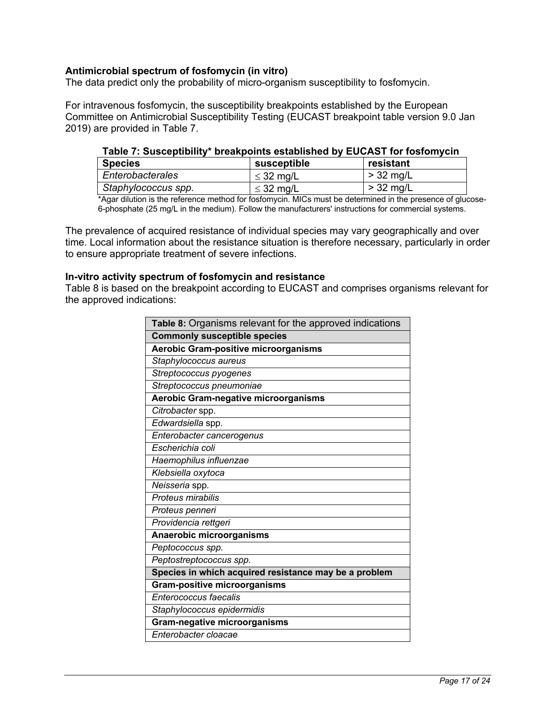### **Antimicrobial spectrum of fosfomycin (in vitro)**

The data predict only the probability of micro-organism susceptibility to fosfomycin.

For intravenous fosfomycin, the susceptibility breakpoints established by the European Committee on Antimicrobial Susceptibility Testing (EUCAST breakpoint table version 9.0 Jan 2019) are provided in Table 7.

### **Table 7: Susceptibility\* breakpoints established by EUCAST for fosfomycin**

| <b>Species</b>      | susceptible    | resistant   |
|---------------------|----------------|-------------|
| Enterobacterales    | $\leq$ 32 mg/L | $>$ 32 mg/L |
| Staphylococcus spp. | $\leq$ 32 mg/L | $>$ 32 mg/L |

\*Agar dilution is the reference method for fosfomycin. MICs must be determined in the presence of glucose-6-phosphate (25 mg/L in the medium). Follow the manufacturers' instructions for commercial systems.

The prevalence of acquired resistance of individual species may vary geographically and over time. Local information about the resistance situation is therefore necessary, particularly in order to ensure appropriate treatment of severe infections.

#### **In-vitro activity spectrum of fosfomycin and resistance**

Table 8 is based on the breakpoint according to EUCAST and comprises organisms relevant for the approved indications:

| Table 8: Organisms relevant for the approved indications |  |  |
|----------------------------------------------------------|--|--|
| <b>Commonly susceptible species</b>                      |  |  |
| Aerobic Gram-positive microorganisms                     |  |  |
| Staphylococcus aureus                                    |  |  |
| Streptococcus pyogenes                                   |  |  |
| Streptococcus pneumoniae                                 |  |  |
| Aerobic Gram-negative microorganisms                     |  |  |
| Citrobacter spp.                                         |  |  |
| Edwardsiella spp.                                        |  |  |
| Enterobacter cancerogenus                                |  |  |
| Escherichia coli                                         |  |  |
| Haemophilus influenzae                                   |  |  |
| Klebsiella oxytoca                                       |  |  |
| Neisseria spp.                                           |  |  |
| Proteus mirabilis                                        |  |  |
| Proteus penneri                                          |  |  |
| Providencia rettgeri                                     |  |  |
| Anaerobic microorganisms                                 |  |  |
| Peptococcus spp.                                         |  |  |
| Peptostreptococcus spp.                                  |  |  |
| Species in which acquired resistance may be a problem    |  |  |
| <b>Gram-positive microorganisms</b>                      |  |  |
| Enterococcus faecalis                                    |  |  |
| Staphylococcus epidermidis                               |  |  |
| <b>Gram-negative microorganisms</b>                      |  |  |
| Enterobacter cloacae                                     |  |  |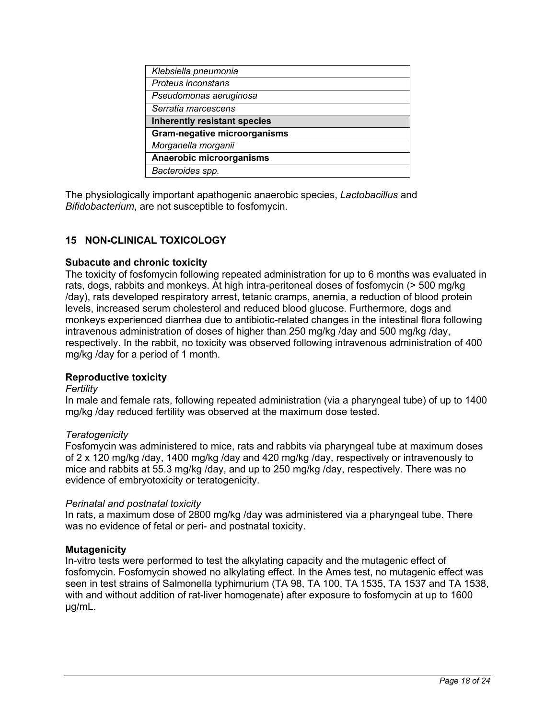| Klebsiella pneumonia                |
|-------------------------------------|
| Proteus inconstans                  |
| Pseudomonas aeruginosa              |
| Serratia marcescens                 |
| <b>Inherently resistant species</b> |
| <b>Gram-negative microorganisms</b> |
| Morganella morganii                 |
| Anaerobic microorganisms            |
| Bacteroides spp.                    |

The physiologically important apathogenic anaerobic species, *Lactobacillus* and *Bifidobacterium*, are not susceptible to fosfomycin.

## **15 NON-CLINICAL TOXICOLOGY**

### **Subacute and chronic toxicity**

The toxicity of fosfomycin following repeated administration for up to 6 months was evaluated in rats, dogs, rabbits and monkeys. At high intra-peritoneal doses of fosfomycin (> 500 mg/kg /day), rats developed respiratory arrest, tetanic cramps, anemia, a reduction of blood protein levels, increased serum cholesterol and reduced blood glucose. Furthermore, dogs and monkeys experienced diarrhea due to antibiotic-related changes in the intestinal flora following intravenous administration of doses of higher than 250 mg/kg /day and 500 mg/kg /day, respectively. In the rabbit, no toxicity was observed following intravenous administration of 400 mg/kg /day for a period of 1 month.

### **Reproductive toxicity**

### *Fertility*

In male and female rats, following repeated administration (via a pharyngeal tube) of up to 1400 mg/kg /day reduced fertility was observed at the maximum dose tested.

### *Teratogenicity*

Fosfomycin was administered to mice, rats and rabbits via pharyngeal tube at maximum doses of 2 x 120 mg/kg /day, 1400 mg/kg /day and 420 mg/kg /day, respectively or intravenously to mice and rabbits at 55.3 mg/kg /day, and up to 250 mg/kg /day, respectively. There was no evidence of embryotoxicity or teratogenicity.

### *Perinatal and postnatal toxicity*

In rats, a maximum dose of 2800 mg/kg /day was administered via a pharyngeal tube. There was no evidence of fetal or peri- and postnatal toxicity.

### **Mutagenicity**

In-vitro tests were performed to test the alkylating capacity and the mutagenic effect of fosfomycin. Fosfomycin showed no alkylating effect. In the Ames test, no mutagenic effect was seen in test strains of Salmonella typhimurium (TA 98, TA 100, TA 1535, TA 1537 and TA 1538, with and without addition of rat-liver homogenate) after exposure to fosfomycin at up to 1600 µg/mL.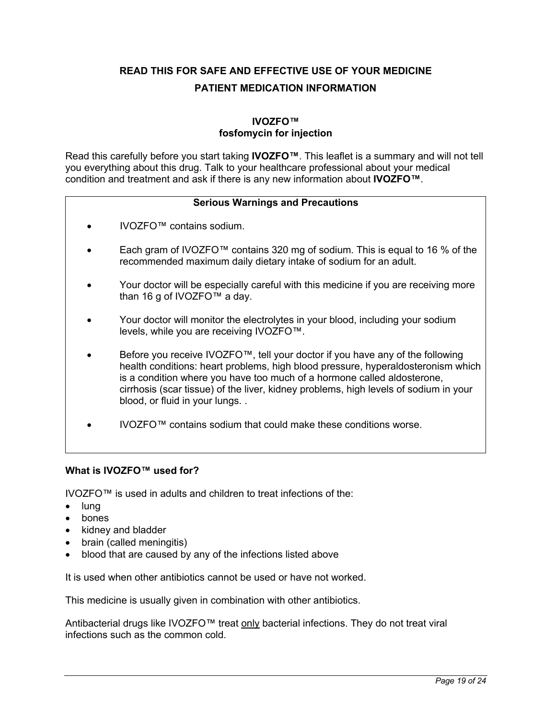**READ THIS FOR SAFE AND EFFECTIVE USE OF YOUR MEDICINE PATIENT MEDICATION INFORMATION**

## **IVOZFO™ fosfomycin for injection**

Read this carefully before you start taking **IVOZFO™**. This leaflet is a summary and will not tell you everything about this drug. Talk to your healthcare professional about your medical condition and treatment and ask if there is any new information about **IVOZFO™**.

### **Serious Warnings and Precautions**

- IVOZFO™ contains sodium.
- Each gram of IVOZFO™ contains 320 mg of sodium. This is equal to 16 % of the recommended maximum daily dietary intake of sodium for an adult.
- Your doctor will be especially careful with this medicine if you are receiving more than 16 g of IVOZFO™ a day.
- Your doctor will monitor the electrolytes in your blood, including your sodium levels, while you are receiving IVOZFO™.
- Before you receive IVOZFO™, tell your doctor if you have any of the following health conditions: heart problems, high blood pressure, hyperaldosteronism which is a condition where you have too much of a hormone called aldosterone, cirrhosis (scar tissue) of the liver, kidney problems, high levels of sodium in your blood, or fluid in your lungs. .
- IVOZFO™ contains sodium that could make these conditions worse.

### **What is IVOZFO™ used for?**

IVOZFO™ is used in adults and children to treat infections of the:

- lung
- bones
- kidney and bladder
- brain (called meningitis)
- blood that are caused by any of the infections listed above

It is used when other antibiotics cannot be used or have not worked.

This medicine is usually given in combination with other antibiotics.

Antibacterial drugs like IVOZFO™ treat only bacterial infections. They do not treat viral infections such as the common cold.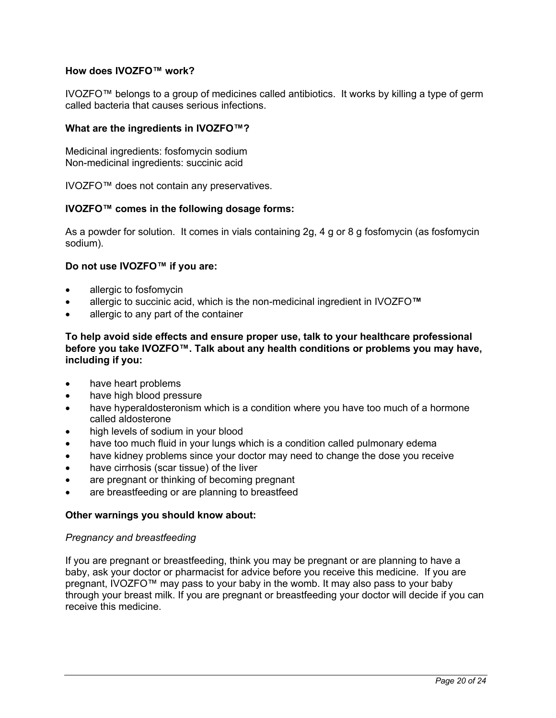### **How does IVOZFO™ work?**

IVOZFO™ belongs to a group of medicines called antibiotics. It works by killing a type of germ called bacteria that causes serious infections.

### **What are the ingredients in IVOZFO™?**

Medicinal ingredients: fosfomycin sodium Non-medicinal ingredients: succinic acid

IVOZFO™ does not contain any preservatives.

### **IVOZFO™ comes in the following dosage forms:**

As a powder for solution. It comes in vials containing 2g, 4 g or 8 g fosfomycin (as fosfomycin sodium).

### **Do not use IVOZFO™ if you are:**

- allergic to fosfomycin
- allergic to succinic acid, which is the non-medicinal ingredient in IVOZFO**™**
- allergic to any part of the container

**To help avoid side effects and ensure proper use, talk to your healthcare professional before you take IVOZFO™. Talk about any health conditions or problems you may have, including if you:** 

- have heart problems
- have high blood pressure
- have hyperaldosteronism which is a condition where you have too much of a hormone called aldosterone
- high levels of sodium in your blood
- have too much fluid in your lungs which is a condition called pulmonary edema
- have kidney problems since your doctor may need to change the dose you receive
- have cirrhosis (scar tissue) of the liver
- are pregnant or thinking of becoming pregnant
- are breastfeeding or are planning to breastfeed

### **Other warnings you should know about:**

### *Pregnancy and breastfeeding*

If you are pregnant or breastfeeding, think you may be pregnant or are planning to have a baby, ask your doctor or pharmacist for advice before you receive this medicine. If you are pregnant, IVOZFO™ may pass to your baby in the womb. It may also pass to your baby through your breast milk. If you are pregnant or breastfeeding your doctor will decide if you can receive this medicine.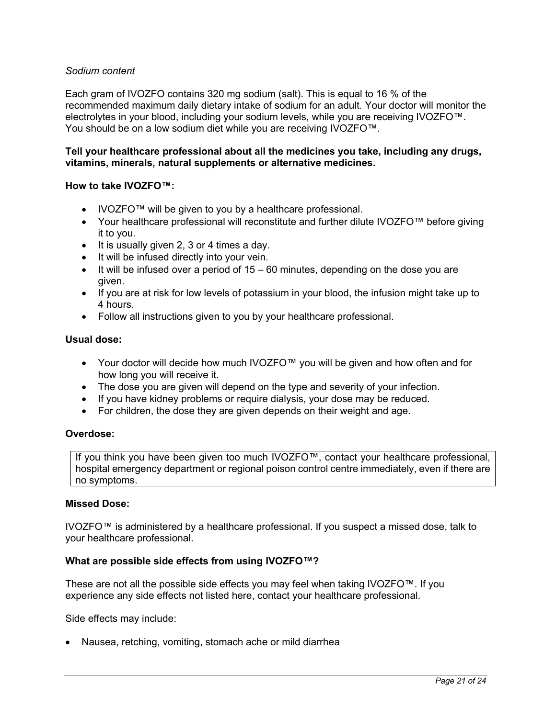### *Sodium content*

Each gram of IVOZFO contains 320 mg sodium (salt). This is equal to 16 % of the recommended maximum daily dietary intake of sodium for an adult. Your doctor will monitor the electrolytes in your blood, including your sodium levels, while you are receiving IVOZFO™. You should be on a low sodium diet while you are receiving IVOZFO™.

### **Tell your healthcare professional about all the medicines you take, including any drugs, vitamins, minerals, natural supplements or alternative medicines.**

### **How to take IVOZFO™:**

- IVOZFO™ will be given to you by a healthcare professional.
- Your healthcare professional will reconstitute and further dilute IVOZFO™ before giving it to you.
- It is usually given 2, 3 or 4 times a day.
- It will be infused directly into your vein.
- $\bullet$  It will be infused over a period of 15 60 minutes, depending on the dose you are given.
- If you are at risk for low levels of potassium in your blood, the infusion might take up to 4 hours.
- Follow all instructions given to you by your healthcare professional.

### **Usual dose:**

- Your doctor will decide how much IVOZFO™ you will be given and how often and for how long you will receive it.
- The dose you are given will depend on the type and severity of your infection.
- If you have kidney problems or require dialysis, your dose may be reduced.
- For children, the dose they are given depends on their weight and age.

### **Overdose:**

If you think you have been given too much IVOZFO™, contact your healthcare professional, hospital emergency department or regional poison control centre immediately, even if there are no symptoms.

### **Missed Dose:**

IVOZFO™ is administered by a healthcare professional. If you suspect a missed dose, talk to your healthcare professional.

### **What are possible side effects from using IVOZFO™?**

These are not all the possible side effects you may feel when taking IVOZFO™. If you experience any side effects not listed here, contact your healthcare professional.

Side effects may include:

• Nausea, retching, vomiting, stomach ache or mild diarrhea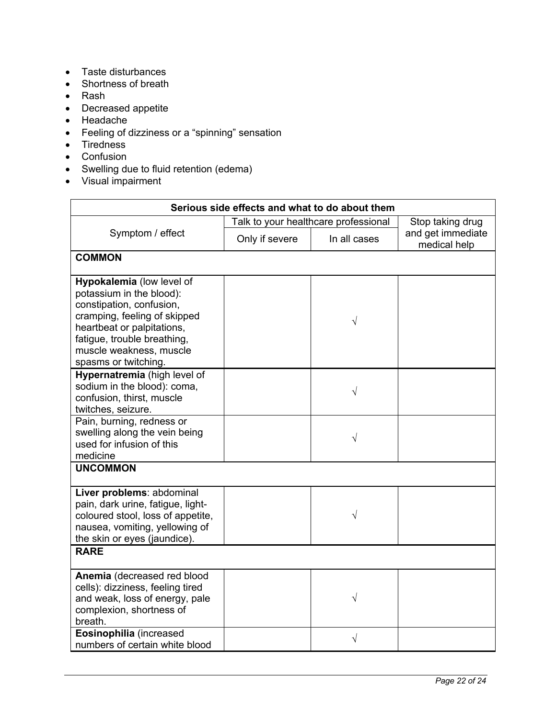- Taste disturbances
- Shortness of breath
- Rash
- Decreased appetite
- Headache
- Feeling of dizziness or a "spinning" sensation
- Tiredness
- Confusion
- Swelling due to fluid retention (edema)
- Visual impairment

| Serious side effects and what to do about them                                                                                                                                                                                    |                                      |              |                                   |  |  |
|-----------------------------------------------------------------------------------------------------------------------------------------------------------------------------------------------------------------------------------|--------------------------------------|--------------|-----------------------------------|--|--|
| Symptom / effect                                                                                                                                                                                                                  | Talk to your healthcare professional |              | Stop taking drug                  |  |  |
|                                                                                                                                                                                                                                   | Only if severe                       | In all cases | and get immediate<br>medical help |  |  |
| <b>COMMON</b>                                                                                                                                                                                                                     |                                      |              |                                   |  |  |
| Hypokalemia (low level of<br>potassium in the blood):<br>constipation, confusion,<br>cramping, feeling of skipped<br>heartbeat or palpitations,<br>fatigue, trouble breathing,<br>muscle weakness, muscle<br>spasms or twitching. |                                      | V            |                                   |  |  |
| Hypernatremia (high level of<br>sodium in the blood): coma,<br>confusion, thirst, muscle<br>twitches, seizure.                                                                                                                    |                                      | $\sqrt{}$    |                                   |  |  |
| Pain, burning, redness or<br>swelling along the vein being<br>used for infusion of this<br>medicine                                                                                                                               |                                      | V            |                                   |  |  |
| <b>UNCOMMON</b>                                                                                                                                                                                                                   |                                      |              |                                   |  |  |
| Liver problems: abdominal<br>pain, dark urine, fatigue, light-<br>coloured stool, loss of appetite,<br>nausea, vomiting, yellowing of<br>the skin or eyes (jaundice).                                                             |                                      | V            |                                   |  |  |
| <b>RARE</b>                                                                                                                                                                                                                       |                                      |              |                                   |  |  |
| Anemia (decreased red blood<br>cells): dizziness, feeling tired<br>and weak, loss of energy, pale<br>complexion, shortness of<br>breath.                                                                                          |                                      | V            |                                   |  |  |
| Eosinophilia (increased<br>numbers of certain white blood                                                                                                                                                                         |                                      | $\sqrt{}$    |                                   |  |  |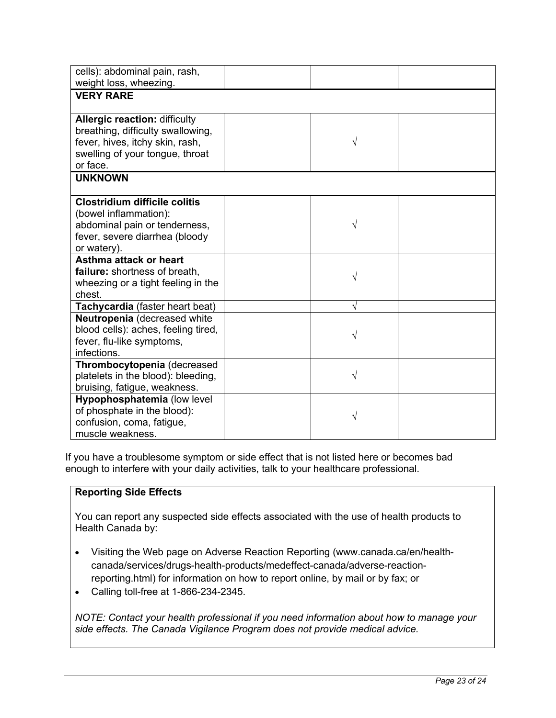| cells): abdominal pain, rash,<br>weight loss, wheezing.                                                                                                     |   |  |
|-------------------------------------------------------------------------------------------------------------------------------------------------------------|---|--|
| <b>VERY RARE</b>                                                                                                                                            |   |  |
| <b>Allergic reaction: difficulty</b><br>breathing, difficulty swallowing,<br>fever, hives, itchy skin, rash,<br>swelling of your tongue, throat<br>or face. | V |  |
| <b>UNKNOWN</b>                                                                                                                                              |   |  |
| <b>Clostridium difficile colitis</b><br>(bowel inflammation):<br>abdominal pain or tenderness,<br>fever, severe diarrhea (bloody<br>or watery).             | V |  |
| Asthma attack or heart<br>failure: shortness of breath.<br>wheezing or a tight feeling in the<br>chest.                                                     | V |  |
| Tachycardia (faster heart beat)                                                                                                                             | V |  |
| Neutropenia (decreased white<br>blood cells): aches, feeling tired,<br>fever, flu-like symptoms,<br>infections.                                             | V |  |
| Thrombocytopenia (decreased<br>platelets in the blood): bleeding,<br>bruising, fatigue, weakness.                                                           | V |  |
| Hypophosphatemia (low level<br>of phosphate in the blood):<br>confusion, coma, fatigue,<br>muscle weakness.                                                 | V |  |

If you have a troublesome symptom or side effect that is not listed here or becomes bad enough to interfere with your daily activities, talk to your healthcare professional.

### **Reporting Side Effects**

You can report any suspected side effects associated with the use of health products to Health Canada by:

- Visiting the Web page on Adverse Reaction Reporting (www.canada.ca/en/healthcanada/services/drugs-health-products/medeffect-canada/adverse-reactionreporting.html) for information on how to report online, by mail or by fax; or
- Calling toll-free at 1-866-234-2345.

*NOTE: Contact your health professional if you need information about how to manage your side effects. The Canada Vigilance Program does not provide medical advice.*